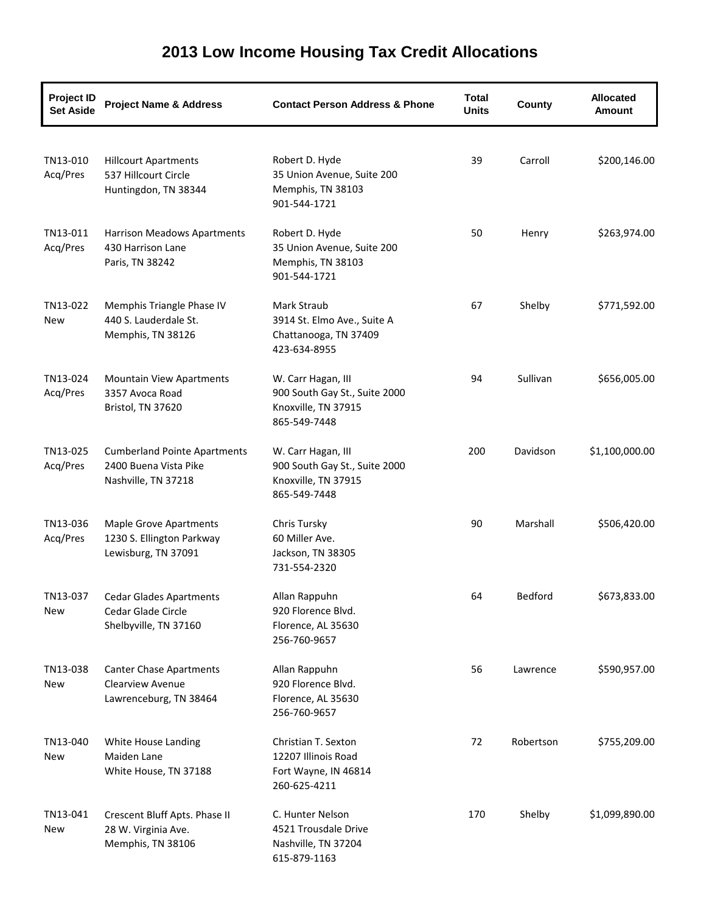| <b>Project ID</b><br><b>Set Aside</b> | <b>Project Name &amp; Address</b>                                                   | <b>Contact Person Address &amp; Phone</b>                                                  | <b>Total</b><br><b>Units</b> | County    | <b>Allocated</b><br><b>Amount</b> |
|---------------------------------------|-------------------------------------------------------------------------------------|--------------------------------------------------------------------------------------------|------------------------------|-----------|-----------------------------------|
| TN13-010<br>Acq/Pres                  | <b>Hillcourt Apartments</b><br>537 Hillcourt Circle<br>Huntingdon, TN 38344         | Robert D. Hyde<br>35 Union Avenue, Suite 200<br>Memphis, TN 38103<br>901-544-1721          | 39                           | Carroll   | \$200,146.00                      |
| TN13-011<br>Acq/Pres                  | Harrison Meadows Apartments<br>430 Harrison Lane<br>Paris, TN 38242                 | Robert D. Hyde<br>35 Union Avenue, Suite 200<br>Memphis, TN 38103<br>901-544-1721          | 50                           | Henry     | \$263,974.00                      |
| TN13-022<br>New                       | Memphis Triangle Phase IV<br>440 S. Lauderdale St.<br>Memphis, TN 38126             | Mark Straub<br>3914 St. Elmo Ave., Suite A<br>Chattanooga, TN 37409<br>423-634-8955        | 67                           | Shelby    | \$771,592.00                      |
| TN13-024<br>Acq/Pres                  | <b>Mountain View Apartments</b><br>3357 Avoca Road<br>Bristol, TN 37620             | W. Carr Hagan, III<br>900 South Gay St., Suite 2000<br>Knoxville, TN 37915<br>865-549-7448 | 94                           | Sullivan  | \$656,005.00                      |
| TN13-025<br>Acq/Pres                  | <b>Cumberland Pointe Apartments</b><br>2400 Buena Vista Pike<br>Nashville, TN 37218 | W. Carr Hagan, III<br>900 South Gay St., Suite 2000<br>Knoxville, TN 37915<br>865-549-7448 | 200                          | Davidson  | \$1,100,000.00                    |
| TN13-036<br>Acq/Pres                  | <b>Maple Grove Apartments</b><br>1230 S. Ellington Parkway<br>Lewisburg, TN 37091   | Chris Tursky<br>60 Miller Ave.<br>Jackson, TN 38305<br>731-554-2320                        | 90                           | Marshall  | \$506,420.00                      |
| TN13-037<br>New                       | <b>Cedar Glades Apartments</b><br>Cedar Glade Circle<br>Shelbyville, TN 37160       | Allan Rappuhn<br>920 Florence Blvd.<br>Florence, AL 35630<br>256-760-9657                  | 64                           | Bedford   | \$673,833.00                      |
| TN13-038<br>New                       | <b>Canter Chase Apartments</b><br><b>Clearview Avenue</b><br>Lawrenceburg, TN 38464 | Allan Rappuhn<br>920 Florence Blvd.<br>Florence, AL 35630<br>256-760-9657                  | 56                           | Lawrence  | \$590,957.00                      |
| TN13-040<br>New                       | White House Landing<br>Maiden Lane<br>White House, TN 37188                         | Christian T. Sexton<br>12207 Illinois Road<br>Fort Wayne, IN 46814<br>260-625-4211         | 72                           | Robertson | \$755,209.00                      |
| TN13-041<br>New                       | Crescent Bluff Apts. Phase II<br>28 W. Virginia Ave.<br>Memphis, TN 38106           | C. Hunter Nelson<br>4521 Trousdale Drive<br>Nashville, TN 37204<br>615-879-1163            | 170                          | Shelby    | \$1,099,890.00                    |

## **2013 Low Income Housing Tax Credit Allocations**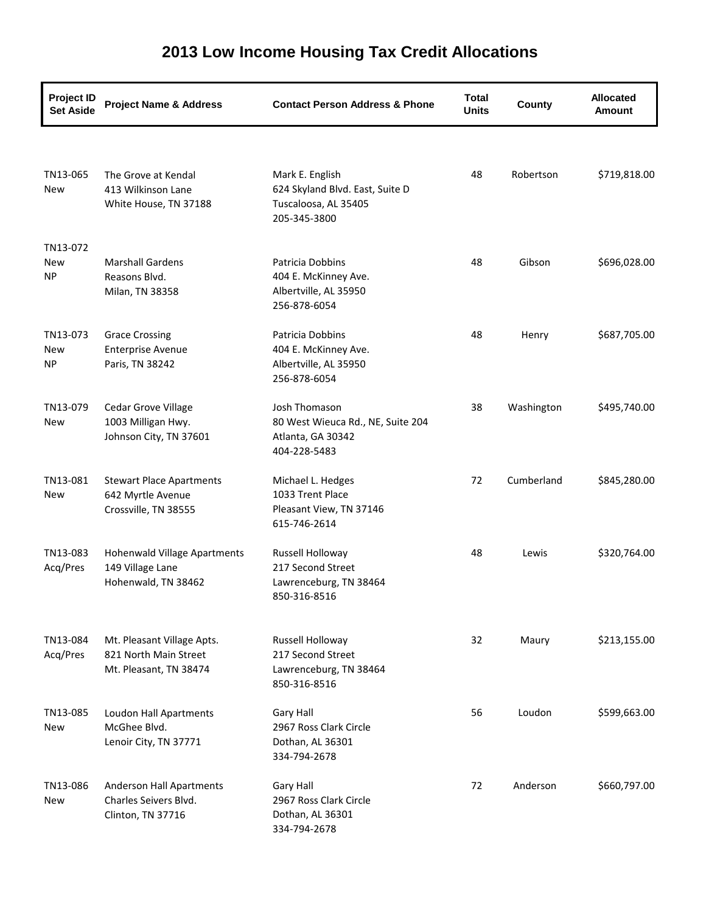| <b>Project ID</b><br><b>Set Aside</b> | <b>Project Name &amp; Address</b>                                             | <b>Contact Person Address &amp; Phone</b>                                                  | <b>Total</b><br><b>Units</b> | County     | <b>Allocated</b><br>Amount |
|---------------------------------------|-------------------------------------------------------------------------------|--------------------------------------------------------------------------------------------|------------------------------|------------|----------------------------|
|                                       |                                                                               |                                                                                            |                              |            |                            |
| TN13-065<br>New                       | The Grove at Kendal<br>413 Wilkinson Lane<br>White House, TN 37188            | Mark E. English<br>624 Skyland Blvd. East, Suite D<br>Tuscaloosa, AL 35405<br>205-345-3800 | 48                           | Robertson  | \$719,818.00               |
| TN13-072                              |                                                                               |                                                                                            |                              |            |                            |
| New<br><b>NP</b>                      | <b>Marshall Gardens</b><br>Reasons Blvd.<br>Milan, TN 38358                   | Patricia Dobbins<br>404 E. McKinney Ave.<br>Albertville, AL 35950<br>256-878-6054          | 48                           | Gibson     | \$696,028.00               |
| TN13-073<br>New<br><b>NP</b>          | <b>Grace Crossing</b><br><b>Enterprise Avenue</b><br>Paris, TN 38242          | Patricia Dobbins<br>404 E. McKinney Ave.<br>Albertville, AL 35950<br>256-878-6054          | 48                           | Henry      | \$687,705.00               |
| TN13-079<br>New                       | Cedar Grove Village<br>1003 Milligan Hwy.<br>Johnson City, TN 37601           | Josh Thomason<br>80 West Wieuca Rd., NE, Suite 204<br>Atlanta, GA 30342<br>404-228-5483    | 38                           | Washington | \$495,740.00               |
| TN13-081<br>New                       | <b>Stewart Place Apartments</b><br>642 Myrtle Avenue<br>Crossville, TN 38555  | Michael L. Hedges<br>1033 Trent Place<br>Pleasant View, TN 37146<br>615-746-2614           | 72                           | Cumberland | \$845,280.00               |
| TN13-083<br>Acq/Pres                  | Hohenwald Village Apartments<br>149 Village Lane<br>Hohenwald, TN 38462       | Russell Holloway<br>217 Second Street<br>Lawrenceburg, TN 38464<br>850-316-8516            | 48                           | Lewis      | \$320,764.00               |
| TN13-084<br>Acq/Pres                  | Mt. Pleasant Village Apts.<br>821 North Main Street<br>Mt. Pleasant, TN 38474 | Russell Holloway<br>217 Second Street<br>Lawrenceburg, TN 38464<br>850-316-8516            | 32                           | Maury      | \$213,155.00               |
| TN13-085<br>New                       | Loudon Hall Apartments<br>McGhee Blvd.<br>Lenoir City, TN 37771               | Gary Hall<br>2967 Ross Clark Circle<br>Dothan, AL 36301<br>334-794-2678                    | 56                           | Loudon     | \$599,663.00               |
| TN13-086<br>New                       | <b>Anderson Hall Apartments</b><br>Charles Seivers Blvd.<br>Clinton, TN 37716 | Gary Hall<br>2967 Ross Clark Circle<br>Dothan, AL 36301<br>334-794-2678                    | 72                           | Anderson   | \$660,797.00               |

## **2013 Low Income Housing Tax Credit Allocations**